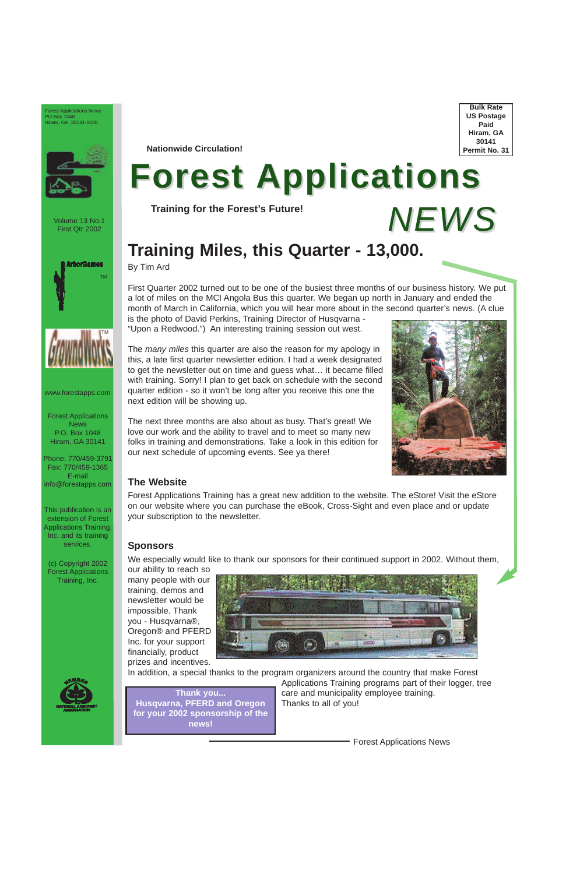By Tim Ard

First Quarter 2002 turned out to be one of the busiest three months of our business history. We put a lot of miles on the MCI Angola Bus this quarter. We began up north in January and ended the month of March in California, which you will hear more about in the second quarter's news. (A clue is the photo of David Perkins, Training Director of Husqvarna -

"Upon a Redwood.") An interesting training session out west.

The *many miles* this quarter are also the reason for my apology in this, a late first quarter newsletter edition. I had a week designated to get the newsletter out on time and guess what… it became filled with training. Sorry! I plan to get back on schedule with the second quarter edition - so it won't be long after you receive this one the next edition will be showing up.

The next three months are also about as busy. That's great! We love our work and the ability to travel and to meet so many new folks in training and demonstrations. Take a look in this edition for our next schedule of upcoming events. See ya there!



#### **The Website**

## **Training Miles, this Quarter - 13,000.** *NEWS*

Forest Applications Training has a great new addition to the website. The eStore! Visit the eStore on our website where you can purchase the eBook, Cross-Sight and even place and or update your subscription to the newsletter.

### **Sponsors**

We especially would like to thank our sponsors for their continued support in 2002. Without them,

our ability to reach so many people with our training, demos and newsletter would be impossible. Thank you - Husqvarna®, Oregon® and PFERD Inc. for your support financially, product prizes and incentives.





In addition, a special thanks to the program organizers around the country that make Forest



Applications Training programs part of their logger, tree care and municipality employee training. Thanks to all of you!

Forest Applications News

Volume 13 No.1 First Qtr 2002

Forest Applications News P.O. Box 1048 Hiram, GA 30141

Phone: 770/459-3791 Fax: 770/459-1365 E-mail info@forestapps.com

This publication is an extension of Forest Applications Training, Inc. and its training services.

(c) Copyright 2002 Forest Applications Training, Inc.





**Bulk Rate US Postage Paid Hiram, GA 30141 Permit No. 31**

Forest Applications News PO Box 1048 Hiram, GA 30141-1048



**Nationwide Circulation!**

# **Forest Applications**

**Training for the Forest's Future!**

**Thank you... [Husqvarna](http://www.husqvarna.com), [PFERD](http://www.pferd.com) and [Oregon](http://www.oregonchain.com) for your 2002 sponsorship of the news!**

www.forestapps.com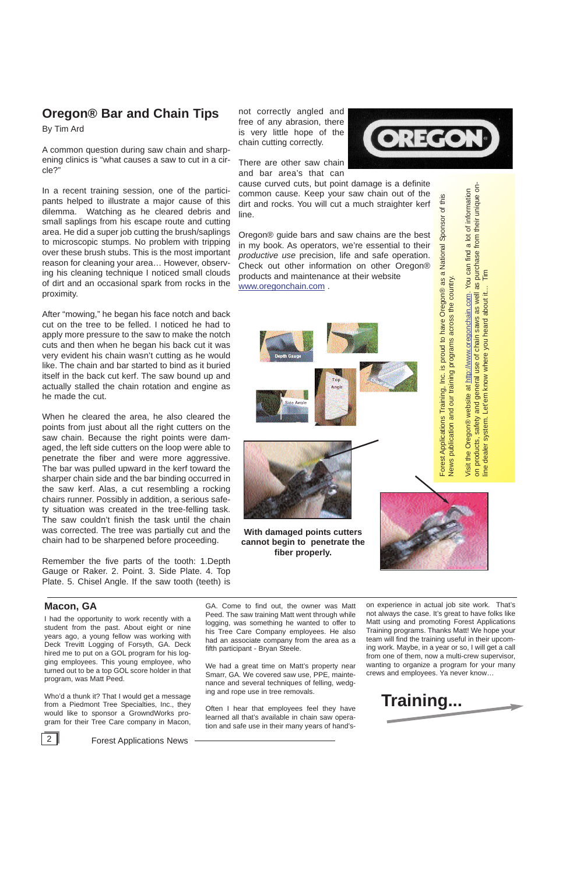on experience in actual job site work. That's not always the case. It's great to have folks like Matt using and promoting Forest Applications Training programs. Thanks Matt! We hope your team will find the training useful in their upcoming work. Maybe, in a year or so, I will get a call from one of them, now a multi-crew supervisor, wanting to organize a program for your many crews and employees. Ya never know…

not correctly angled and free of any abrasion, there is very little hope of the chain cutting correctly.

There are other saw chain and bar area's that can

cause curved cuts, but point damage is a definite common cause. Keep your saw chain out of the dirt and rocks. You will cut a much straighter kerf line.

Oregon® guide bars and saw chains are the best in my book. As operators, we're essential to their *productive use* precision, life and safe operation. Check out other information on other Oregon® products and maintenance at their website [www.oregonchain.com](http://www.oregonchain.com) .

Angli



Visit the Oregon® website at http://www.oregonchain.com. You can find a lot of information<br>on products, safety and general use of chain saws as well as purchase from their unique on-<br>line dealer system. Let'em know where y Visit the Oregon® website at http://www.oregonchain.com. You can find a lot of information Sponsor of this Forest Applications Training, Inc. is proud to have Oregon® as a National Sponsor of this Forest Applications Training, Inc. is proud to have Oregon® as a National across the country. News publication and our training programs across the country. News publication and our training programs

on products, safety and general use of chain saws as well as purchase from their unique on-

line dealer system. Let'em know where you heard about it… Tim



ide Angl



## **Oregon® Bar and Chain Tips**

By Tim Ard

A common question during saw chain and sharpening clinics is "what causes a saw to cut in a circle?"

In a recent training session, one of the participants helped to illustrate a major cause of this dilemma. Watching as he cleared debris and small saplings from his escape route and cutting area. He did a super job cutting the brush/saplings to microscopic stumps. No problem with tripping over these brush stubs. This is the most important reason for cleaning your area… However, observing his cleaning technique I noticed small clouds of dirt and an occasional spark from rocks in the proximity.

After "mowing," he began his face notch and back cut on the tree to be felled. I noticed he had to apply more pressure to the saw to make the notch cuts and then when he began his back cut it was very evident his chain wasn't cutting as he would like. The chain and bar started to bind as it buried itself in the back cut kerf. The saw bound up and actually stalled the chain rotation and engine as he made the cut.

When he cleared the area, he also cleared the points from just about all the right cutters on the saw chain. Because the right points were damaged, the left side cutters on the loop were able to penetrate the fiber and were more aggressive. The bar was pulled upward in the kerf toward the sharper chain side and the bar binding occurred in the saw kerf. Alas, a cut resembling a rocking chairs runner. Possibly in addition, a serious safety situation was created in the tree-felling task. The saw couldn't finish the task until the chain was corrected. The tree was partially cut and the chain had to be sharpened before proceeding.

Remember the five parts of the tooth: 1.Depth Gauge or Raker. 2. Point. 3. Side Plate. 4. Top Plate. 5. Chisel Angle. If the saw tooth (teeth) is

**With damaged points cutters cannot begin to penetrate the fiber properly.**



#### **Macon, GA**

I had the opportunity to work recently with a student from the past. About eight or nine years ago, a young fellow was working with Deck Trevitt Logging of Forsyth, GA. Deck hired me to put on a GOL program for his logging employees. This young employee, who turned out to be a top GOL score holder in that program, was Matt Peed.

Who'd a thunk it? That I would get a message from a Piedmont Tree Specialties, Inc., they would like to sponsor a GrowndWorks program for their Tree Care company in Macon,



2 **Forest Applications News** 

GA. Come to find out, the owner was Matt Peed. The saw training Matt went through while logging, was something he wanted to offer to his Tree Care Company employees. He also had an associate company from the area as a fifth participant - Bryan Steele.

We had a great time on Matt's property near Smarr, GA. We covered saw use, PPE, maintenance and several techniques of felling, wedging and rope use in tree removals.

Often I hear that employees feel they have learned all that's available in chain saw operation and safe use in their many years of hand's-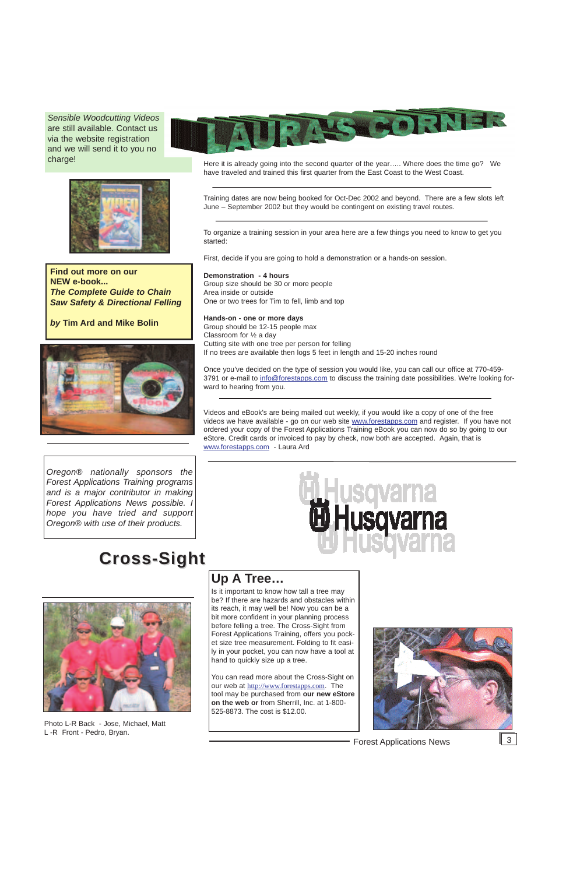Here it is already going into the second quarter of the year….. Where does the time go? We have traveled and trained this first quarter from the East Coast to the West Coast.

Training dates are now being booked for Oct-Dec 2002 and beyond. There are a few slots left June – September 2002 but they would be contingent on existing travel routes.

To organize a training session in your area here are a few things you need to know to get you started:

First, decide if you are going to hold a demonstration or a hands-on session.

**Demonstration - 4 hours** Group size should be 30 or more people Area inside or outside One or two trees for Tim to fell, limb and top

**Hands-on - one or more days** Group should be 12-15 people max Classroom for ½ a day Cutting site with one tree per person for felling If no trees are available then logs 5 feet in length and 15-20 inches round

Once you've decided on the type of session you would like, you can call our office at 770-459- 3791 or e-mail to info@forestapps.com to discuss the training date possibilities. We're looking forward to hearing from you.

Videos and eBook's are being mailed out weekly, if you would like a copy of one of the free videos we have available - go on our web site www.forestapps.com and register. If you have not ordered your copy of the Forest Applications Training eBook you can now do so by going to our eStore. Credit cards or invoiced to pay by check, now both are accepted. Again, that is www.forestapps.com - Laura Ard



## **Up A Tree…**

Is it important to know how tall a tree may be? If there are hazards and obstacles within its reach, it may well be! Now you can be a bit more confident in your planning process before felling a tree. The Cross-Sight from Forest Applications Training, offers you pocket size tree measurement. Folding to fit easily in your pocket, you can now have a tool at hand to quickly size up a tree.



You can read more about the Cross-Sight on our web at http://www.forestapps.com. The tool may be purchased from **our new eStore on the web or** from Sherrill, Inc. at 1-800- 525-8873. The cost is \$12.00.

Forest Applications News 3

*Oregon® nationally sponsors the Forest Applications Training programs and is a major contributor in making Forest Applications News possible. I hope you have tried and support Oregon® with use of their products.*

## **Cross-Sight Cross-Sight**





*Sensible Woodcutting Videos* are still available. Contact us via the website registration and we will send it to you no charge!



**Find out more on our NEW e-book...** *The Complete Guide to Chain Saw Safety & Directional Felling* 

*by* **Tim Ard and Mike Bolin** 



Photo L-R Back - Jose, Michael, Matt L -R Front - Pedro, Bryan.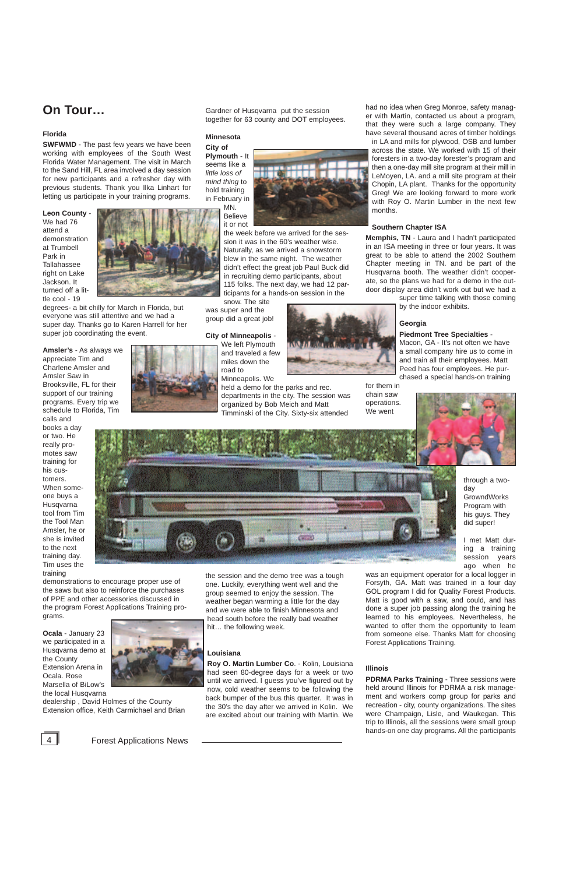## **On Tour…**

#### **Florida**

**SWFWMD** - The past few years we have been working with employees of the South West Florida Water Management. The visit in March to the Sand Hill, FL area involved a day session for new participants and a refresher day with previous students. Thank you Ilka Linhart for letting us participate in your training programs.

**Leon County** - We had 76 attend a demonstration at Trumbell Park in Tallahassee right on Lake Jackson. It turned off a little cool - 19



degrees- a bit chilly for March in Florida, but everyone was still attentive and we had a super day. Thanks go to Karen Harrell for her super job coordinating the event.

**Amsler's** - As always we appreciate Tim and Charlene Amsler and Amsler Saw in Brooksville, FL for their support of our training programs. Every trip we schedule to Florida, Tim

calls and books a day or two. He really promotes saw training for his customers. When someone buys a Husqvarna tool from Tim the Tool Man Amsler, he or she is invited to the next training day. Tim uses the training

demonstrations to encourage proper use of the saws but also to reinforce the purchases of PPE and other accessories discussed in the program Forest Applications Training programs.

**Ocala** - January 23 we participated in a Husqvarna demo at the County Extension Arena in Ocala. Rose Marsella of BiLow's the local Husqvarna



dealership , David Holmes of the County Extension office, Keith Carmichael and Brian

Gardner of Husqvarna put the session together for 63 county and DOT employees.

#### **Minnesota**

**City of Plymouth** - It seems like a *little loss of mind thing* to hold training in February in MN.

Believe it or not

the week before we arrived for the session it was in the 60's weather wise. Naturally, as we arrived a snowstorm blew in the same night. The weather didn't effect the great job Paul Buck did in recruiting demo participants, about 115 folks. The next day, we had 12 participants for a hands-on session in the

snow. The site was super and the group did a great job!

#### **City of Minneapolis** -

We left Plymouth and traveled a few

miles down the road to

Minneapolis. We

held a demo for the parks and rec.



departments in the city. The session was organized by Bob Meich and Matt Timminski of the City. Sixty-six attended

the session and the demo tree was a tough one. Luckily, everything went well and the group seemed to enjoy the session. The weather began warming a little for the day and we were able to finish Minnesota and head south before the really bad weather hit… the following week.

#### **Louisiana**

**Roy O. Martin Lumber Co**. - Kolin, Louisiana had seen 80-degree days for a week or two until we arrived. I guess you've figured out by now, cold weather seems to be following the back bumper of the bus this quarter. It was in the 30's the day after we arrived in Kolin. We are excited about our training with Martin. We had no idea when Greg Monroe, safety manager with Martin, contacted us about a program, that they were such a large company. They have several thousand acres of timber holdings

in LA and mills for plywood, OSB and lumber across the state. We worked with 15 of their foresters in a two-day forester's program and then a one-day mill site program at their mill in LeMoyen, LA. and a mill site program at their Chopin, LA plant. Thanks for the opportunity Greg! We are looking forward to more work with Roy O. Martin Lumber in the next few months.

#### **Southern Chapter ISA**

**Memphis, TN** - Laura and I hadn't participated in an ISA meeting in three or four years. It was great to be able to attend the 2002 Southern Chapter meeting in TN. and be part of the Husqvarna booth. The weather didn't cooperate, so the plans we had for a demo in the outdoor display area didn't work out but we had a

super time talking with those coming by the indoor exhibits.

#### **Georgia**

#### **Piedmont Tree Specialties** -

Macon, GA - It's not often we have a small company hire us to come in and train all their employees. Matt Peed has four employees. He purchased a special hands-on training



for them in chain saw operations. We went

> through a twoday **GrowndWorks** Program with his guys. They did super!

I met Matt during a training session vears ago when he

was an equipment operator for a local logger in Forsyth, GA. Matt was trained in a four day GOL program I did for Quality Forest Products. Matt is good with a saw, and could, and has done a super job passing along the training he learned to his employees. Nevertheless, he wanted to offer them the opportunity to learn from someone else. Thanks Matt for choosing



Forest Applications Training.

#### **Illinois**

**PDRMA Parks Training** - Three sessions were held around Illinois for PDRMA a risk management and workers comp group for parks and recreation - city, county organizations. The sites were Champaign, Lisle, and Waukegan. This trip to Illinois, all the sessions were small group hands-on one day programs. All the participants



4 **Forest Applications News**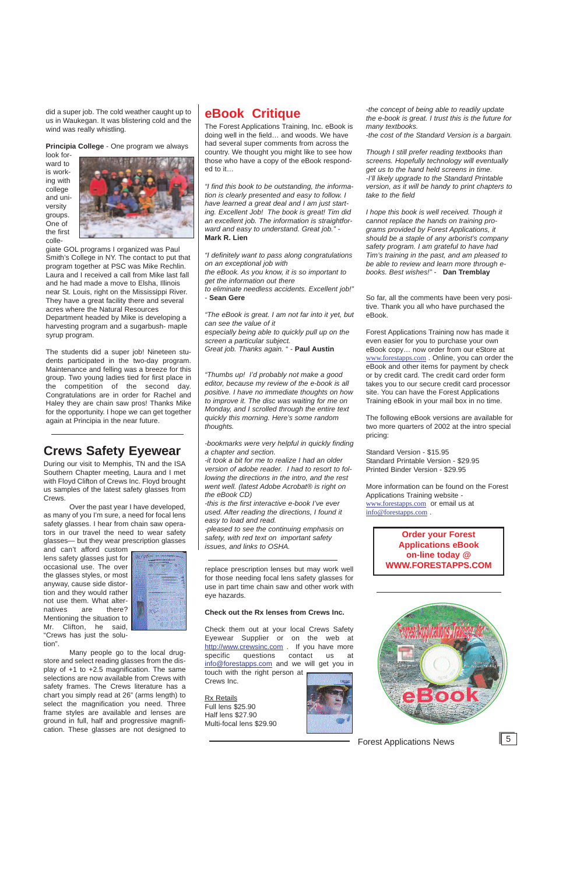## **eBook Critique**

The Forest Applications Training, Inc. eBook is doing well in the field… and woods. We have had several super comments from across the country. We thought you might like to see how those who have a copy of the eBook responded to it…

*"I find this book to be outstanding, the information is clearly presented and easy to follow. I have learned a great deal and I am just starting. Excellent Job! The book is great! Tim did an excellent job. The information is straightforward and easy to understand. Great job." -* **Mark R. Lien**

*"I definitely want to pass along congratulations on an exceptional job with the eBook. As you know, it is so important to get the information out there to eliminate needless accidents. Excellent job!"*

- **Sean Gere**

*"The eBook is great. I am not far into it yet, but can see the value of it especially being able to quickly pull up on the screen a particular subject. Great job. Thanks again.* " - **Paul Austin**

*"Thumbs up! I'd probably not make a good editor, because my review of the e-book is all positive. I have no immediate thoughts on how to improve it. The disc was waiting for me on Monday, and I scrolled through the entire text quickly this morning. Here's some random thoughts.* 

*-bookmarks were very helpful in quickly finding a chapter and section.* 

*-it took a bit for me to realize I had an older version of adobe reader. I had to resort to following the directions in the intro, and the rest went well. (latest Adobe Acrobat® is right on the eBook CD)*

*-this is the first interactive e-book I've ever used. After reading the directions, I found it easy to load and read.* 

*-pleased to see the continuing emphasis on safety, with red text on important safety issues, and links to OSHA.* 

*-the concept of being able to readily update the e-book is great. I trust this is the future for many textbooks.* 

*-the cost of the Standard Version is a bargain.* 

*Though I still prefer reading textbooks than screens. Hopefully technology will eventually get us to the hand held screens in time. -I'll likely upgrade to the Standard Printable version, as it will be handy to print chapters to take to the field* 

*I hope this book is well received. Though it cannot replace the hands on training programs provided by Forest Applications, it should be a staple of any arborist's company safety program. I am grateful to have had Tim's training in the past, and am pleased to be able to review and learn more through ebooks. Best wishes!"* - **Dan Tremblay**

So far, all the comments have been very positive. Thank you all who have purchased the eBook.

Forest Applications Training now has made it even easier for you to purchase your own eBook copy… now order from our eStore at www.forestapps.com . Online, you can order the eBook and other items for payment by check or by credit card. The credit card order form takes you to our secure credit card processor site. You can have the Forest Applications Training eBook in your mail box in no time.

<http://www.crewsinc.com> . If you have more specific questions contact us at info@forestapps.com and we will get you in touch with the right person at Crews Inc.

The following eBook versions are available for two more quarters of 2002 at the intro special pricing:

Standard Version - \$15.95 Standard Printable Version - \$29.95 Printed Binder Version - \$29.95

More information can be found on the Forest Applications Training website www.forestapps.com or email us at info@forestapps.com .

> **Order your Forest Applications eBook on-line today @ WWW.FORESTAPPS.COM**



did a super job. The cold weather caught up to us in Waukegan. It was blistering cold and the wind was really whistling.

**Principia College** - One program we always

look forward to is working with college and university groups. One of the first colle-



giate GOL programs I organized was Paul Smith's College in NY. The contact to put that program together at PSC was Mike Rechlin. Laura and I received a call from Mike last fall and he had made a move to Elsha, Illinois near St. Louis, right on the Mississippi River. They have a great facility there and several acres where the Natural Resources Department headed by Mike is developing a harvesting program and a sugarbush- maple syrup program.

The students did a super job! Nineteen students participated in the two-day program. Maintenance and felling was a breeze for this group. Two young ladies tied for first place in the competition of the second day. Congratulations are in order for Rachel and Haley they are chain saw pros! Thanks Mike for the opportunity. I hope we can get together again at Principia in the near future.

## **Crews Safety Eyewear**

During our visit to Memphis, TN and the ISA Southern Chapter meeting, Laura and I met with Floyd Clifton of Crews Inc. Floyd brought us samples of the latest safety glasses from Crews.

Over the past year I have developed, as many of you I'm sure, a need for focal lens safety glasses. I hear from chain saw operators in our travel the need to wear safety glasses— but they wear prescription glasses

and can't afford custom lens safety glasses just for occasional use. The over the glasses styles, or most anyway, cause side distortion and they would rather not use them. What alternatives are there? Mentioning the situation to Mr. Clifton, he said, "Crews has just the solu-



tion".

Many people go to the local drugstore and select reading glasses from the display of +1 to +2.5 magnification. The same selections are now available from Crews with safety frames. The Crews literature has a chart you simply read at 26" (arms length) to select the magnification you need. Three frame styles are available and lenses are ground in full, half and progressive magnification. These glasses are not designed to replace prescription lenses but may work well for those needing focal lens safety glasses for use in part time chain saw and other work with eye hazards.

#### **Check out the Rx lenses from Crews Inc.**

Check them out at your local Crews Safety Eyewear Supplier or on the web at

Rx Retails Full lens \$25.90 Half lens \$27.90 Multi-focal lens \$29.90



Forest Applications News 5

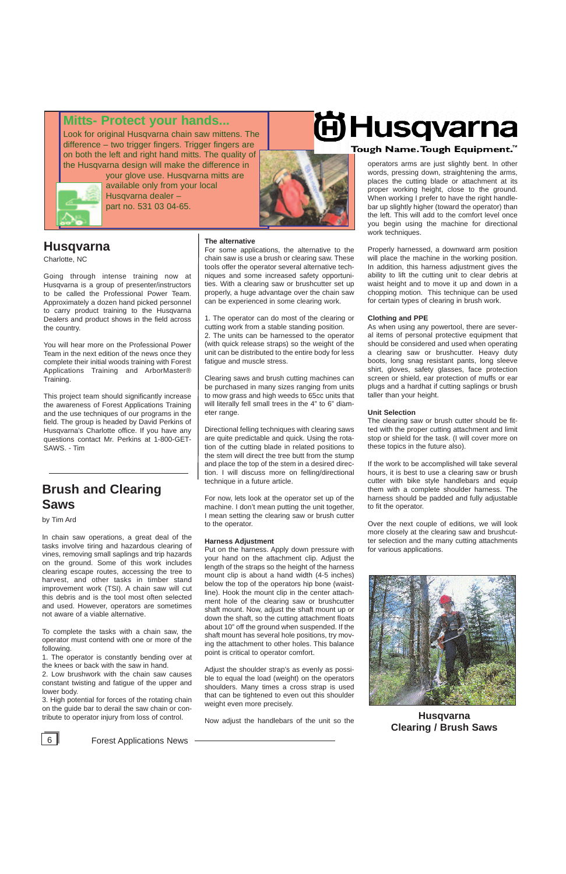6 Forest Applications News

**Husqvarna Clearing / Brush Saws**



### **Mitts- Protect your hands...**

Look for original Husqvarna chain saw mittens. The difference – two trigger fingers. Trigger fingers are on both the left and right hand mitts. The quality of the Husqvarna design will make the difference in



your glove use. Husqvarna mitts are available only from your local Husqvarna dealer – part no. 531 03 04-65.



### **[Husqvarna](http://www.husqvarna.com)**

Charlotte, NC

Going through intense training now at Husqvarna is a group of presenter/instructors to be called the Professional Power Team. Approximately a dozen hand picked personnel to carry product training to the Husqvarna Dealers and product shows in the field across the country.

You will hear more on the Professional Power Team in the next edition of the news once they complete their initial woods training with Forest Applications Training and ArborMaster® Training.

This project team should significantly increase the awareness of Forest Applications Training and the use techniques of our programs in the field. The group is headed by David Perkins of Husqvarna's Charlotte office. If you have any questions contact Mr. Perkins at 1-800-GET-SAWS. - Tim

## **Brush and Clearing Saws**

by Tim Ard

In chain saw operations, a great deal of the tasks involve tiring and hazardous clearing of vines, removing small saplings and trip hazards on the ground. Some of this work includes clearing escape routes, accessing the tree to harvest, and other tasks in timber stand improvement work (TSI). A chain saw will cut this debris and is the tool most often selected and used. However, operators are sometimes not aware of a viable alternative.

To complete the tasks with a chain saw, the operator must contend with one or more of the

following.

1. The operator is constantly bending over at the knees or back with the saw in hand.

2. Low brushwork with the chain saw causes constant twisting and fatigue of the upper and lower body.

3. High potential for forces of the rotating chain on the guide bar to derail the saw chain or contribute to operator injury from loss of control.

#### **The alternative**

For some applications, the alternative to the chain saw is use a brush or clearing saw. These tools offer the operator several alternative techniques and some increased safety opportunities. With a clearing saw or brushcutter set up properly, a huge advantage over the chain saw can be experienced in some clearing work.

1. The operator can do most of the clearing or cutting work from a stable standing position. 2. The units can be harnessed to the operator (with quick release straps) so the weight of the unit can be distributed to the entire body for less fatigue and muscle stress.

Clearing saws and brush cutting machines can be purchased in many sizes ranging from units to mow grass and high weeds to 65cc units that will literally fell small trees in the 4" to 6" diameter range.

Directional felling techniques with clearing saws are quite predictable and quick. Using the rotation of the cutting blade in related positions to the stem will direct the tree butt from the stump and place the top of the stem in a desired direction. I will discuss more on felling/directional technique in a future article.

For now, lets look at the operator set up of the machine. I don't mean putting the unit together, I mean setting the clearing saw or brush cutter to the operator.

#### **Harness Adjustment**

Put on the harness. Apply down pressure with your hand on the attachment clip. Adjust the length of the straps so the height of the harness mount clip is about a hand width (4-5 inches) below the top of the operators hip bone (waistline). Hook the mount clip in the center attachment hole of the clearing saw or brushcutter shaft mount. Now, adjust the shaft mount up or down the shaft, so the cutting attachment floats about 10" off the ground when suspended. If the shaft mount has several hole positions, try mov-

# **EiHusqvarna**

#### Tough Name. Tough Equipment.™

ing the attachment to other holes. This balance point is critical to operator comfort.

Adjust the shoulder strap's as evenly as possible to equal the load (weight) on the operators shoulders. Many times a cross strap is used that can be tightened to even out this shoulder weight even more precisely.

Now adjust the handlebars of the unit so the

operators arms are just slightly bent. In other words, pressing down, straightening the arms, places the cutting blade or attachment at its proper working height, close to the ground. When working I prefer to have the right handlebar up slightly higher (toward the operator) than the left. This will add to the comfort level once you begin using the machine for directional work techniques.

Properly harnessed, a downward arm position will place the machine in the working position. In addition, this harness adjustment gives the ability to lift the cutting unit to clear debris at waist height and to move it up and down in a chopping motion. This technique can be used for certain types of clearing in brush work.

#### **Clothing and PPE**

As when using any powertool, there are several items of personal protective equipment that should be considered and used when operating a clearing saw or brushcutter. Heavy duty boots, long snag resistant pants, long sleeve shirt, gloves, safety glasses, face protection screen or shield, ear protection of muffs or ear plugs and a hardhat if cutting saplings or brush taller than your height.

#### **Unit Selection**

The clearing saw or brush cutter should be fitted with the proper cutting attachment and limit stop or shield for the task. (I will cover more on these topics in the future also).

If the work to be accomplished will take several hours, it is best to use a clearing saw or brush cutter with bike style handlebars and equip them with a complete shoulder harness. The harness should be padded and fully adjustable to fit the operator.

Over the next couple of editions, we will look more closely at the clearing saw and brushcutter selection and the many cutting attachments for various applications.

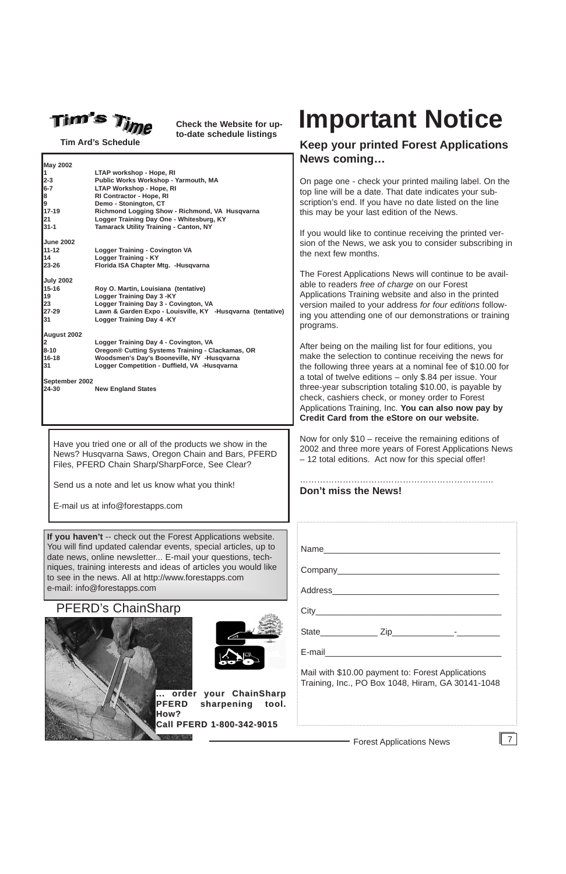Forest Applications News

**Tim Ard's Schedule**



## PFERD's ChainSharp





ter being on the mailing list for four editions, you ake the selection to continue receiving the news for e following three years at a nominal fee of \$10.00 for total of twelve editions – only \$.84 per issue. Your tee-year subscription totaling \$10.00, is payable by eck, cashiers check, or money order to Forest Applications Training, Inc. **You can also now pay by Credit Card from the eStore on our website.**

ow for only \$10 – receive the remaining editions of 02 and three more years of Forest Applications News 12 total editions. Act now for this special offer!



**Check the Website for upto-date schedule listings**



## **Keep your printed Forest Applications News coming…**

n page one - check your printed mailing label. On the p line will be a date. That date indicates your subcription's end. If you have no date listed on the line is may be your last edition of the News.

you would like to continue receiving the printed veron of the News, we ask you to consider subscribing in e next few months.

ne Forest Applications News will continue to be available to readers *free of charge* on our Forest oplications Training website and also in the printed ersion mailed to your address for four editions followg you attending one of our demonstrations or training ograms.

|                    |                                                                      | N             |
|--------------------|----------------------------------------------------------------------|---------------|
| <b>May 2002</b>    |                                                                      |               |
| 1                  | LTAP workshop - Hope, RI                                             |               |
| 2-3                | Public Works Workshop - Yarmouth, MA                                 | Or            |
| 6-7                | <b>LTAP Workshop - Hope, RI</b>                                      | top           |
| 8                  | RI Contractor - Hope, RI                                             | SC            |
| 9                  | Demo - Stonington, CT                                                |               |
| 17-19              | Richmond Logging Show - Richmond, VA Husqvarna                       | thi           |
| 21                 | Logger Training Day One - Whitesburg, KY                             |               |
| $31 - 1$           | Tamarack Utility Training - Canton, NY                               | If $\lambda$  |
|                    |                                                                      |               |
| June 2002<br>11-12 |                                                                      | sic           |
| 14                 | <b>Logger Training - Covington VA</b><br><b>Logger Training - KY</b> | the           |
| 23-26              |                                                                      |               |
|                    | Florida ISA Chapter Mtg. - Husqvarna                                 |               |
| <b>July 2002</b>   |                                                                      | Тh            |
| 15-16              | Roy O. Martin, Louisiana (tentative)                                 | ab            |
| 19                 | Logger Training Day 3 - KY                                           | Ap            |
| 23                 | Logger Training Day 3 - Covington, VA                                |               |
| 27-29              | Lawn & Garden Expo - Louisville, KY -Husqvarna (tentative)           | ve            |
| 31                 | <b>Logger Training Day 4 -KY</b>                                     | ing           |
|                    |                                                                      | pro           |
|                    |                                                                      |               |
| August 2002        |                                                                      |               |
| 2.                 | Logger Training Day 4 - Covington, VA                                | Af            |
| 8-10<br>16-18      | Oregon® Cutting Systems Training - Clackamas, OR                     | ma            |
|                    | Woodsmen's Day's Booneville, NY -Husqvarna                           |               |
| 31                 | Logger Competition - Duffield, VA -Husqvarna                         | the           |
|                    |                                                                      | a t           |
| September 2002     |                                                                      | thr           |
| 24-30              | <b>New England States</b>                                            |               |
|                    |                                                                      | ch            |
|                    |                                                                      | Ap            |
|                    |                                                                      | $\mathsf{Cr}$ |
|                    |                                                                      |               |
|                    |                                                                      | <b>N</b>      |
|                    | Have you tried one or all of the products we show in the             |               |
|                    |                                                                      | 20            |
|                    | News? Husqvarna Saws, Oregon Chain and Bars, PFERD                   | - 1           |
|                    | Files, PFERD Chain Sharp/SharpForce, See Clear?                      |               |
|                    |                                                                      |               |
|                    |                                                                      |               |
|                    | Send us a note and let us know what you think!                       | D٥            |
|                    |                                                                      |               |
|                    | E-mail us at info@forestapps.com                                     |               |
|                    |                                                                      |               |
|                    |                                                                      |               |
|                    |                                                                      |               |
|                    | If you haven't -- check out the Forest Applications website.         |               |
|                    | You will find updated calendar events, special articles, up to       | Na            |
|                    |                                                                      |               |
|                    | date news, online newsletter E-mail your questions, tech-            |               |
|                    | niques, training interests and ideas of articles you would like      | C٥            |
|                    | to see in the news. All at http://www.forestapps.com                 |               |
|                    |                                                                      |               |
|                    | e-mail: info@forestapps.com                                          | Ao            |

#### ………………………………………………………….. **Don't miss the News!**

|       | Address__________________________ |  |
|-------|-----------------------------------|--|
|       |                                   |  |
| State | Zip                               |  |

E-mail\_\_\_\_\_\_\_\_\_\_\_\_\_\_\_\_\_\_\_\_\_\_\_\_\_\_\_\_\_\_\_\_\_\_\_\_\_

Mail with \$10.00 payment to: Forest Applications Training, Inc., PO Box 1048, Hiram, GA 30141-1048

## **Important Notice**